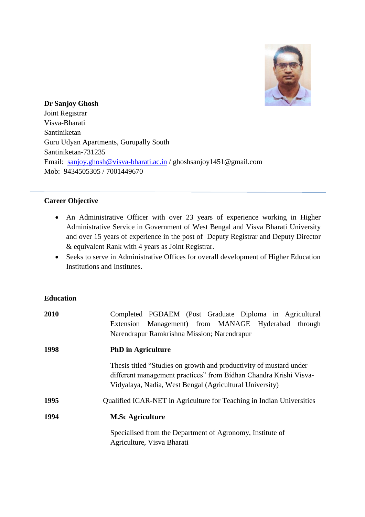

**Dr Sanjoy Ghosh** Joint Registrar Visva-Bharati Santiniketan Guru Udyan Apartments, Gurupally South Santiniketan-731235 Email: [sanjoy.ghosh@visva-bharati.ac.in](mailto:sanjoy.ghosh@visva-bharati.ac.in) / ghoshsanjoy1451@gmail.com Mob: 9434505305 / 7001449670

## **Career Objective**

- An Administrative Officer with over 23 years of experience working in Higher Administrative Service in Government of West Bengal and Visva Bharati University and over 15 years of experience in the post of Deputy Registrar and Deputy Director & equivalent Rank with 4 years as Joint Registrar.
- Seeks to serve in Administrative Offices for overall development of Higher Education Institutions and Institutes.

# **Education**

| 2010 | Completed PGDAEM (Post Graduate Diploma in Agricultural                                                                                                                                            |
|------|----------------------------------------------------------------------------------------------------------------------------------------------------------------------------------------------------|
|      | Extension Management) from MANAGE Hyderabad<br>through                                                                                                                                             |
|      | Narendrapur Ramkrishna Mission; Narendrapur                                                                                                                                                        |
| 1998 | <b>PhD</b> in Agriculture                                                                                                                                                                          |
|      | Thesis titled "Studies on growth and productivity of mustard under<br>different management practices" from Bidhan Chandra Krishi Visva-<br>Vidyalaya, Nadia, West Bengal (Agricultural University) |
| 1995 | Qualified ICAR-NET in Agriculture for Teaching in Indian Universities                                                                                                                              |
| 1994 | <b>M.Sc Agriculture</b>                                                                                                                                                                            |
|      | Specialised from the Department of Agronomy, Institute of<br>Agriculture, Visva Bharati                                                                                                            |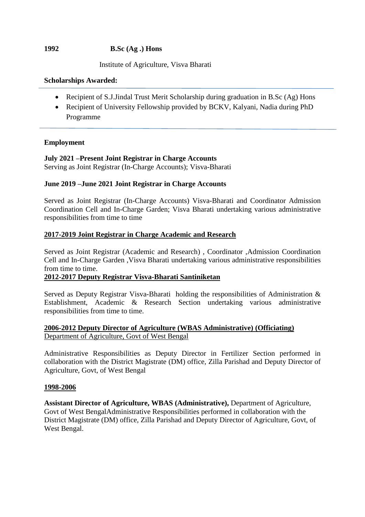## **1992 B.Sc (Ag .) Hons**

Institute of Agriculture, Visva Bharati

#### **Scholarships Awarded:**

- Recipient of S.J.Jindal Trust Merit Scholarship during graduation in B.Sc (Ag) Hons
- Recipient of University Fellowship provided by BCKV, Kalyani, Nadia during PhD Programme

## **Employment**

# **July 2021 –Present Joint Registrar in Charge Accounts**

Serving as Joint Registrar (In-Charge Accounts); Visva-Bharati

## **June 2019 –June 2021 Joint Registrar in Charge Accounts**

Served as Joint Registrar (In-Charge Accounts) Visva-Bharati and Coordinator Admission Coordination Cell and In-Charge Garden; Visva Bharati undertaking various administrative responsibilities from time to time

## **2017-2019 Joint Registrar in Charge Academic and Research**

Served as Joint Registrar (Academic and Research) , Coordinator ,Admission Coordination Cell and In-Charge Garden ,Visva Bharati undertaking various administrative responsibilities from time to time.

#### **2012-2017 Deputy Registrar Visva-Bharati Santiniketan**

Served as Deputy Registrar Visva-Bharati holding the responsibilities of Administration & Establishment, Academic & Research Section undertaking various administrative responsibilities from time to time.

# **2006-2012 Deputy Director of Agriculture (WBAS Administrative) (Officiating)**  Department of Agriculture, Govt of West Bengal

Administrative Responsibilities as Deputy Director in Fertilizer Section performed in collaboration with the District Magistrate (DM) office, Zilla Parishad and Deputy Director of Agriculture, Govt, of West Bengal

#### **1998-2006**

**Assistant Director of Agriculture, WBAS (Administrative),** Department of Agriculture, Govt of West BengalAdministrative Responsibilities performed in collaboration with the District Magistrate (DM) office, Zilla Parishad and Deputy Director of Agriculture, Govt, of West Bengal.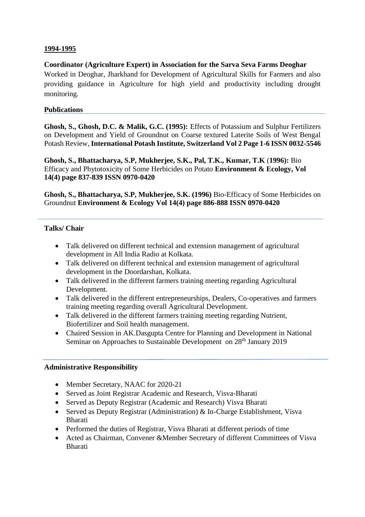## **1994-1995**

## **Coordinator (Agriculture Expert) in Association for the Sarva Seva Farms Deoghar**

Worked in Deoghar, Jharkhand for Development of Agricultural Skills for Farmers and also providing guidance in Agriculture for high yield and productivity including drought monitoring.

#### **Publications**

**Ghosh, S., Ghosh, D.C. & Malik, G.C. (1995):** Effects of Potassium and Sulphur Fertilizers on Development and Yield of Groundnut on Coarse textured Laterite Soils of West Bengal Potash Review, **International Potash Institute, Switzerland Vol 2 Page 1-6 ISSN 0032-5546**

**Ghosh, S., Bhattacharya, S.P, Mukherjee, S.K., Pal, T.K., Kumar, T.K** (**1996):** Bio Efficacy and Phytotoxicity of Some Herbicides on Potato **Environment & Ecology, Vol 14(4) page 837-839 ISSN 0970-0420**

**Ghosh, S., Bhattacharya, S.P, Mukherjee, S.K. (1996)** Bio-Efficacy of Some Herbicides on Groundnut **Environment & Ecology Vol 14(4) page 886-888 ISSN 0970-0420**

## **Talks/ Chair**

- Talk delivered on different technical and extension management of agricultural development in All India Radio at Kolkata.
- Talk delivered on different technical and extension management of agricultural development in the Doordarshan, Kolkata.
- Talk delivered in the different farmers training meeting regarding Agricultural Development.
- Talk delivered in the different entrepreneurships, Dealers, Co-operatives and farmers training meeting regarding overall Agricultural Development.
- Talk delivered in the different farmers training meeting regarding Nutrient, Biofertilizer and Soil health management.
- Chaired Session in AK.Dasgupta Centre for Planning and Development in National Seminar on Approaches to Sustainable Development on 28<sup>th</sup> January 2019

#### **Administrative Responsibility**

- Member Secretary, NAAC for 2020-21
- Served as Joint Registrar Academic and Research, Visva-Bharati
- Served as Deputy Registrar (Academic and Research) Visva Bharati
- Served as Deputy Registrar (Administration) & In-Charge Establishment, Visva Bharati
- Performed the duties of Registrar, Visva Bharati at different periods of time
- Acted as Chairman, Convener &Member Secretary of different Committees of Visva Bharati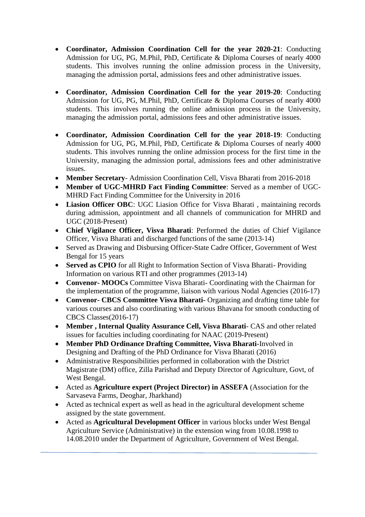- **Coordinator, Admission Coordination Cell for the year 2020-21**: Conducting Admission for UG, PG, M.Phil, PhD, Certificate & Diploma Courses of nearly 4000 students. This involves running the online admission process in the University, managing the admission portal, admissions fees and other administrative issues.
- **Coordinator, Admission Coordination Cell for the year 2019-20**: Conducting Admission for UG, PG, M.Phil, PhD, Certificate & Diploma Courses of nearly 4000 students. This involves running the online admission process in the University, managing the admission portal, admissions fees and other administrative issues.
- **Coordinator, Admission Coordination Cell for the year 2018-19**: Conducting Admission for UG, PG, M.Phil, PhD, Certificate & Diploma Courses of nearly 4000 students. This involves running the online admission process for the first time in the University, managing the admission portal, admissions fees and other administrative issues.
- **Member Secretary** Admission Coordination Cell, Visva Bharati from 2016-2018
- **Member of UGC-MHRD Fact Finding Committee**: Served as a member of UGC-MHRD Fact Finding Committee for the University in 2016
- **Liasion Officer OBC**: UGC Liasion Office for Visva Bharati , maintaining records during admission, appointment and all channels of communication for MHRD and UGC (2018-Present)
- **Chief Vigilance Officer, Visva Bharati**: Performed the duties of Chief Vigilance Officer, Visva Bharati and discharged functions of the same (2013-14)
- Served as Drawing and Disbursing Officer-State Cadre Officer, Government of West Bengal for 15 years
- **Served as CPIO** for all Right to Information Section of Visva Bharati- Providing Information on various RTI and other programmes (2013-14)
- **Convenor- MOOCs** Committee Visva Bharati- Coordinating with the Chairman for the implementation of the programme, liaison with various Nodal Agencies (2016-17)
- **Convenor- CBCS Committee Visva Bharati-** Organizing and drafting time table for various courses and also coordinating with various Bhavana for smooth conducting of CBCS Classes(2016-17)
- **Member , Internal Quality Assurance Cell, Visva Bharati** CAS and other related issues for faculties including coordinating for NAAC (2019-Present)
- **Member PhD Ordinance Drafting Committee, Visva Bharati**-Involved in Designing and Drafting of the PhD Ordinance for Visva Bharati (2016)
- Administrative Responsibilities performed in collaboration with the District Magistrate (DM) office, Zilla Parishad and Deputy Director of Agriculture, Govt, of West Bengal.
- Acted as **Agriculture expert (Project Director) in ASSEFA** (Association for the Sarvaseva Farms, Deoghar, Jharkhand)
- Acted as technical expert as well as head in the agricultural development scheme assigned by the state government.
- Acted as **Agricultural Development Officer** in various blocks under West Bengal Agriculture Service (Administrative) in the extension wing from 10.08.1998 to 14.08.2010 under the Department of Agriculture, Government of West Bengal.